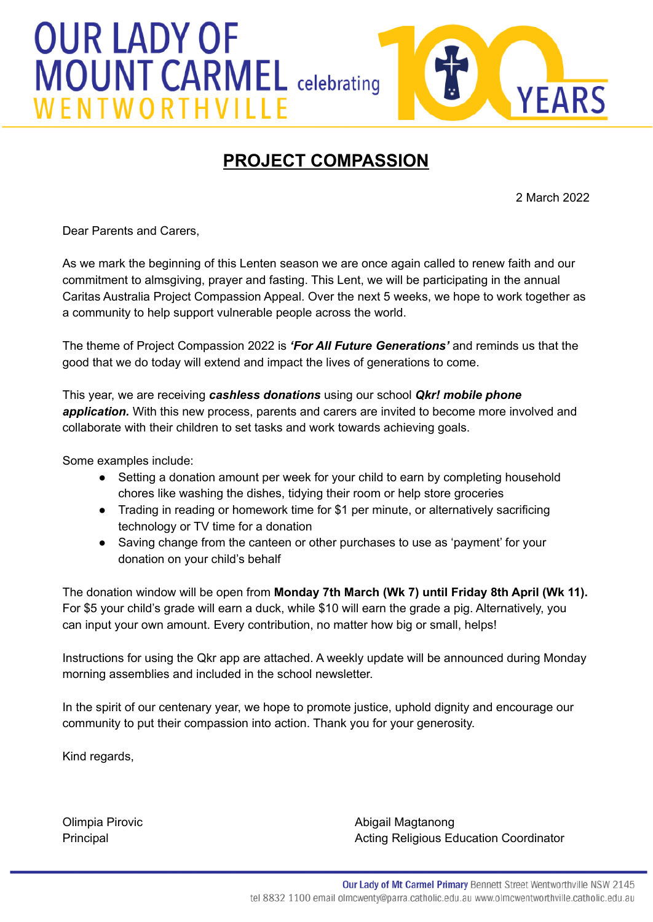



## **PROJECT COMPASSION**

2 March 2022

Dear Parents and Carers,

As we mark the beginning of this Lenten season we are once again called to renew faith and our commitment to almsgiving, prayer and fasting. This Lent, we will be participating in the annual Caritas Australia Project Compassion Appeal. Over the next 5 weeks, we hope to work together as a community to help support vulnerable people across the world.

The theme of Project Compassion 2022 is *'For All Future Generations'* and reminds us that the good that we do today will extend and impact the lives of generations to come.

This year, we are receiving *cashless donations* using our school *Qkr! mobile phone application.* With this new process, parents and carers are invited to become more involved and collaborate with their children to set tasks and work towards achieving goals.

Some examples include:

- Setting a donation amount per week for your child to earn by completing household chores like washing the dishes, tidying their room or help store groceries
- Trading in reading or homework time for \$1 per minute, or alternatively sacrificing technology or TV time for a donation
- Saving change from the canteen or other purchases to use as 'payment' for your donation on your child's behalf

The donation window will be open from **Monday 7th March (Wk 7) until Friday 8th April (Wk 11).** For \$5 your child's grade will earn a duck, while \$10 will earn the grade a pig. Alternatively, you can input your own amount. Every contribution, no matter how big or small, helps!

Instructions for using the Qkr app are attached. A weekly update will be announced during Monday morning assemblies and included in the school newsletter.

In the spirit of our centenary year, we hope to promote justice, uphold dignity and encourage our community to put their compassion into action. Thank you for your generosity.

Kind regards,

Olimpia Pirovic **Abigail Magtanong Climpia Pirovic Abigail Magtanong** Principal **Acting Religious Education Coordinator Principal**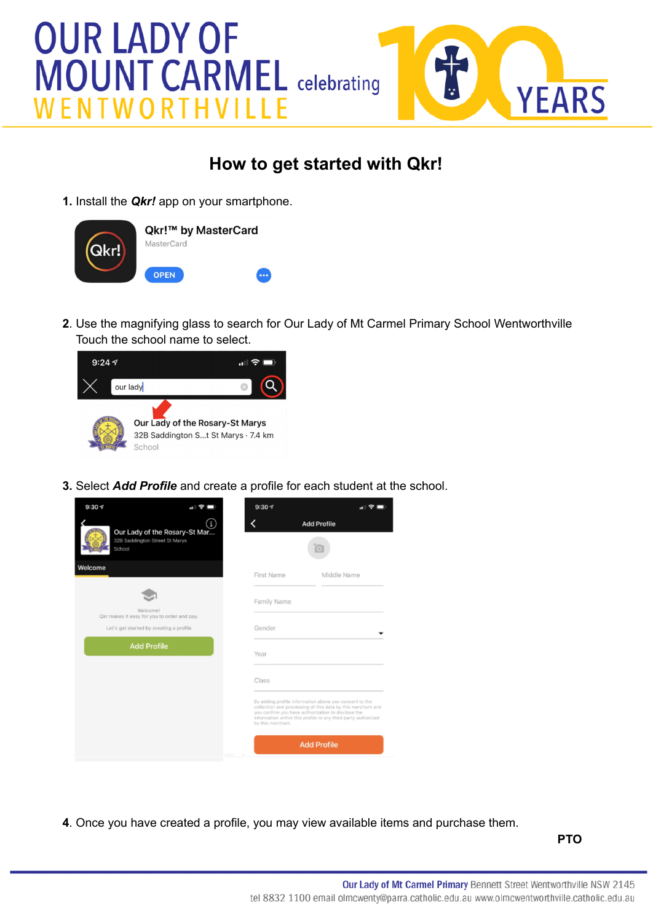## **OUR LADY OF MOUNT CARMEL celebrating** ENTW



## **How to get started with Qkr!**

**1.** Install the *Qkr!* app on your smartphone.



**2**. Use the magnifying glass to search for Our Lady of Mt Carmel Primary School Wentworthville Touch the school name to select.



**3.** Select *Add Profile* and create a profile for each student at the school.

| 9:307<br>Ø<br>пШ                                                               | 9:307                                                                                                                                                                                                                                                             |             |
|--------------------------------------------------------------------------------|-------------------------------------------------------------------------------------------------------------------------------------------------------------------------------------------------------------------------------------------------------------------|-------------|
| Π<br>Our Lady of the Rosary-St Mar<br>32B Saddington Street St Marys<br>School | <b>Add Profile</b>                                                                                                                                                                                                                                                |             |
| Welcome                                                                        | First Name                                                                                                                                                                                                                                                        | Middle Name |
| Welcome!<br>Qkr makes it easy for you to order and pay.                        | Family Name                                                                                                                                                                                                                                                       |             |
| Let's get started by creating a profile                                        | Gender                                                                                                                                                                                                                                                            |             |
| <b>Add Profile</b>                                                             | Year                                                                                                                                                                                                                                                              |             |
|                                                                                | Class                                                                                                                                                                                                                                                             |             |
|                                                                                | By adding profile information above you consent to the<br>collection and processing of this data by this merchant and<br>you confirm you have authorization to disclose the<br>information within this profile to any third party authorized<br>by this merchant. |             |
|                                                                                | <b>Add Profile</b>                                                                                                                                                                                                                                                |             |

**4**. Once you have created a profile, you may view available items and purchase them.

**PTO**